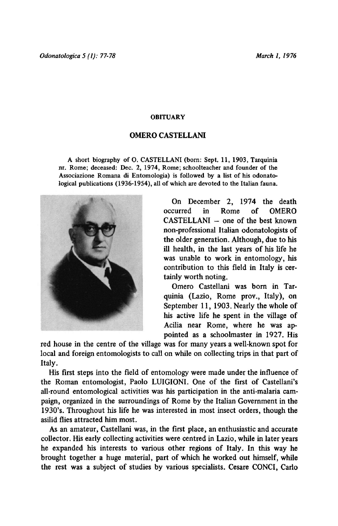## **OBITUARY**

## Omero Castellani

A short biography of O. CASTELLANI (born; Sept. 11, 1903, Tarquinia nr. Rome; deceased: Dec. 2, 1974, Rome; schoolteacher and founder of the Associazione Romana di Entomologia) is followed by <sup>a</sup> list of his odonatological publications (1936-1954), all of which are devoted to the Italian fauna.



On December 2, 1974 the death occurred in Rome of OMERO CASTELLANI — one of the best known non-professional Italian odonatologists of the older generation. Although, due to his ill health, in the last years of his life he was unable to work in entomology, his contribution to this field in Italy is certainly worth noting.

Omero Castellani was born in Tarquinia (Lazio, Rome prov., Italy), on September 11, 1903. Nearly the whole of his active life he spent in the village of Acilia near Rome, where he was appointed as a schoolmaster in 1927. His

red house in the centre of the village was for many years <sup>a</sup> well-known spot for local and foreign entomologists to call on while on collecting trips in that part of Italy.

His first steps into the field of entomology were made under the influence of the Roman entomologist, Paolo LUIGIONI. One of the first of Castellani's all-round entomological activities was his participation in the anti-malaria campaign, organized in the surroundings of Rome by the Italian Government in the 1930's. Throughout his life he was interested in most insect orders, though the asilid flies attracted him most.

As an amateur, Castellani was, in the first place, an enthusiastic and accurate collector. His early collecting activities were centred in Lazio, while in later years he expanded his interests to various other regions of Italy. In this way he brought together <sup>a</sup> huge material, part of which he worked out himself, while the rest was <sup>a</sup> subject of studies by various specialists. Cesare CONCI, Carlo